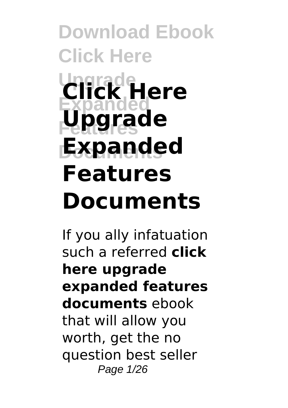**Download Ebook Click Here Upgrade Click Here Expanded** Upgrade **Documents Expanded Features Documents**

If you ally infatuation such a referred **click here upgrade expanded features documents** ebook that will allow you worth, get the no question best seller Page 1/26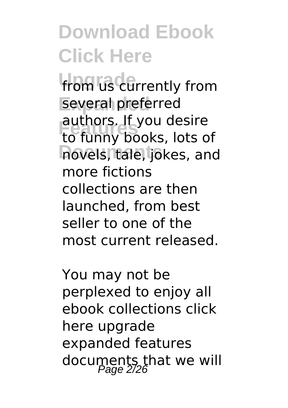**from us currently from** several preferred **Features** to funny books, lots of hovels, tale, jokes, and authors. If you desire more fictions collections are then launched, from best seller to one of the most current released.

You may not be perplexed to enjoy all ebook collections click here upgrade expanded features documents that we will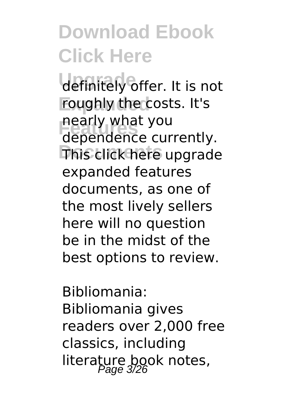definitely offer. It is not roughly the costs. It's **Features** dependence currently. **This click here upgrade** nearly what you expanded features documents, as one of the most lively sellers here will no question be in the midst of the best options to review.

Bibliomania: Bibliomania gives readers over 2,000 free classics, including literature book notes,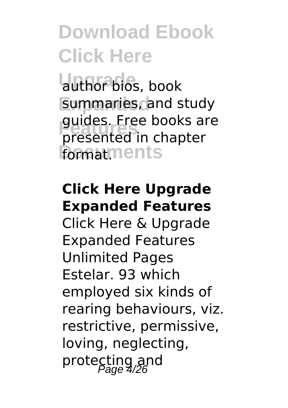author bios, book **Expanded** summaries, and study **Features** presented in chapter **formatments** guides. Free books are

#### **Click Here Upgrade Expanded Features**

Click Here & Upgrade Expanded Features Unlimited Pages Estelar. 93 which employed six kinds of rearing behaviours, viz. restrictive, permissive, loving, neglecting, protecting and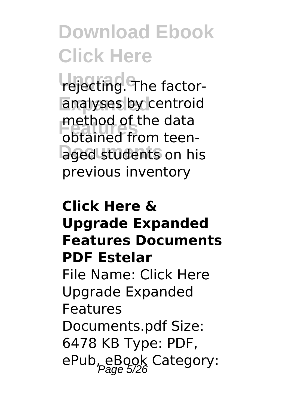**rejecting. The factor**analyses by centroid **Features** obtained from teenaged students on his method of the data previous inventory

#### **Click Here & Upgrade Expanded Features Documents PDF Estelar** File Name: Click Here Upgrade Expanded Features Documents.pdf Size:

6478 KB Type: PDF, ePub, eBook Category: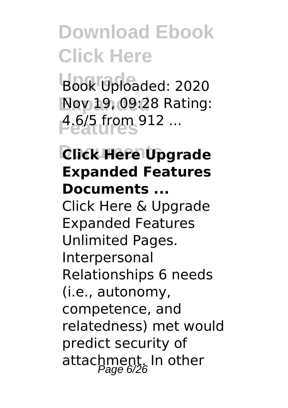Book Uploaded: 2020 **Expanded** Nov 19, 09:28 Rating: **Features** 4.6/5 from 912 ...

#### **Documents Click Here Upgrade Expanded Features Documents ...**

Click Here & Upgrade Expanded Features Unlimited Pages. Interpersonal Relationships 6 needs (i.e., autonomy, competence, and relatedness) met would predict security of attachment. In other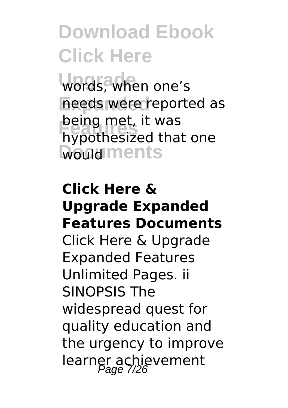words, when one's needs were reported as **being met, it was<br>hypothesized that one Would** ments being met, it was

#### **Click Here & Upgrade Expanded Features Documents** Click Here & Upgrade Expanded Features Unlimited Pages. ii SINOPSIS The widespread quest for quality education and the urgency to improve learner achievement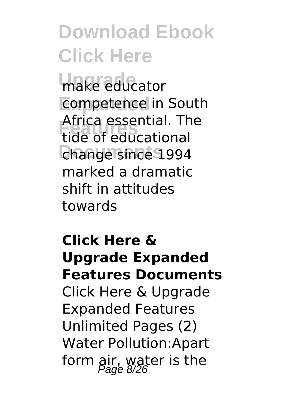**make educator Competence** in South **Features** tide of educational change since 1994 Africa essential. The marked a dramatic shift in attitudes towards

#### **Click Here & Upgrade Expanded Features Documents** Click Here & Upgrade Expanded Features Unlimited Pages (2) Water Pollution:Apart form air, water is the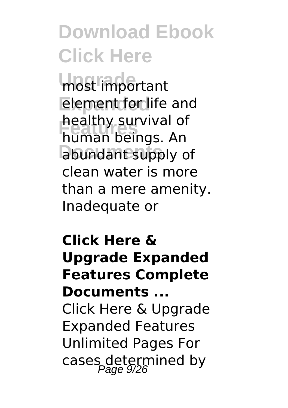most important element for life and **Features** human beings. An abundant supply of healthy survival of clean water is more than a mere amenity. Inadequate or

#### **Click Here & Upgrade Expanded Features Complete Documents ...**

Click Here & Upgrade Expanded Features Unlimited Pages For cases determined by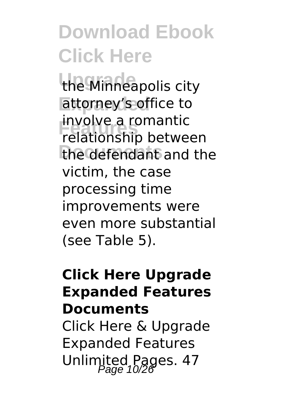the Minneapolis city attorney's office to **Features** relationship between the defendant and the involve a romantic victim, the case processing time improvements were even more substantial (see Table 5).

#### **Click Here Upgrade Expanded Features Documents**

Click Here & Upgrade Expanded Features Unlimited Pages. 47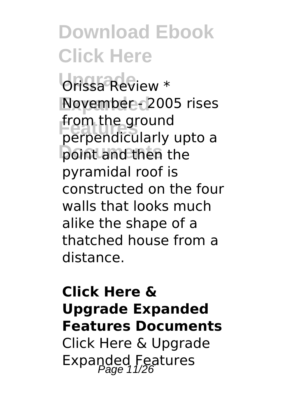Orissa Review \* **Expanded** November - 2005 rises **Features** perpendicularly upto a **point and then the** from the ground pyramidal roof is constructed on the four walls that looks much alike the shape of a thatched house from a distance.

#### **Click Here & Upgrade Expanded Features Documents** Click Here & Upgrade Expanded Features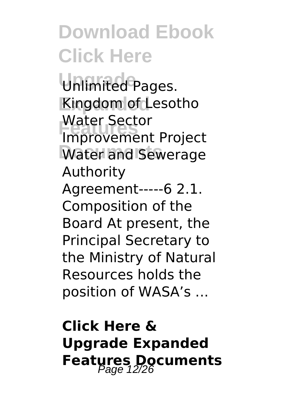Unlimited Pages. **Kingdom of Lesotho Features**<br> **Improvement Project** Water and Sewerage Water Sector Authority Agreement-----6 2.1. Composition of the Board At present, the Principal Secretary to the Ministry of Natural Resources holds the position of WASA's ...

#### **Click Here & Upgrade Expanded Features Documents**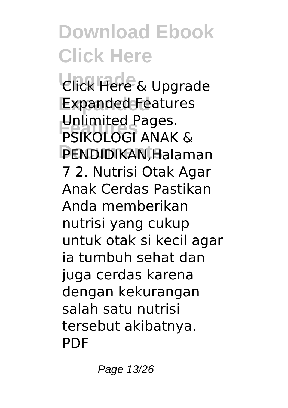**Upgrade** Click Here & Upgrade **Expanded** Expanded Features **Features** PSIKOLOGI ANAK & PENDIDIKAN, Halaman Unlimited Pages. 7 2. Nutrisi Otak Agar Anak Cerdas Pastikan Anda memberikan nutrisi yang cukup untuk otak si kecil agar ia tumbuh sehat dan juga cerdas karena dengan kekurangan salah satu nutrisi tersebut akibatnya. PDF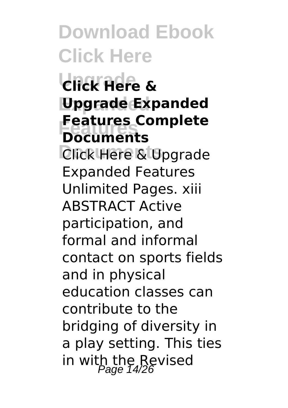**Upgrade Click Here & Expanded Upgrade Expanded Features Features Complete Documents**

**Click Here & Upgrade** Expanded Features Unlimited Pages. xiii ABSTRACT Active participation, and formal and informal contact on sports fields and in physical education classes can contribute to the bridging of diversity in a play setting. This ties in with the Revised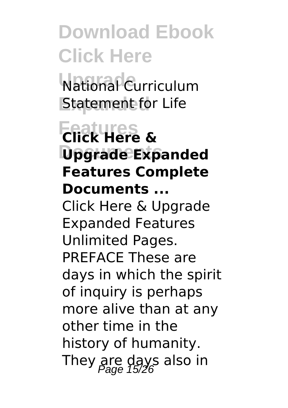**Upgrade** National Curriculum **Statement for Life** 

#### **Features Click Here & Documents Upgrade Expanded Features Complete Documents ...**

Click Here & Upgrade Expanded Features Unlimited Pages. PREFACE These are days in which the spirit of inquiry is perhaps more alive than at any other time in the history of humanity. They are days also in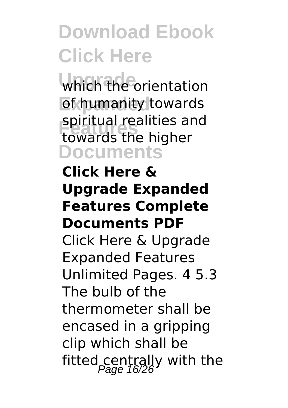which the orientation **of humanity towards Features** towards the higher **Documents** spiritual realities and

#### **Click Here & Upgrade Expanded Features Complete Documents PDF**

Click Here & Upgrade Expanded Features Unlimited Pages. 4 5.3 The bulb of the thermometer shall be encased in a gripping clip which shall be fitted centrally with the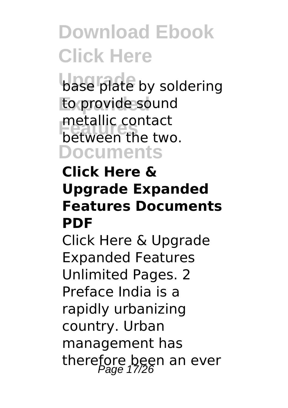**base plate by soldering** to provide sound **Finally** contact<br>between the two. **Documents** metallic contact

#### **Click Here & Upgrade Expanded Features Documents PDF**

Click Here & Upgrade Expanded Features Unlimited Pages. 2 Preface India is a rapidly urbanizing country. Urban management has therefore been an ever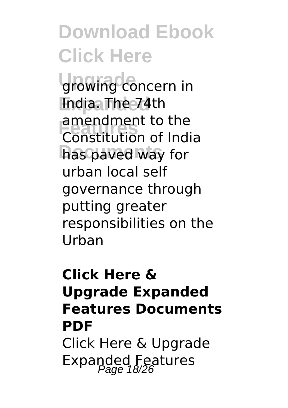growing concern in **Expanded** India. The 74th **Features** Constitution of India has paved way for amendment to the urban local self governance through putting greater responsibilities on the Urban

#### **Click Here & Upgrade Expanded Features Documents PDF** Click Here & Upgrade Expanded Features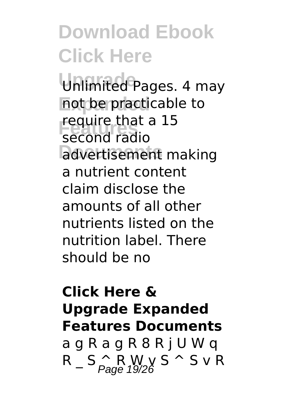Unlimited Pages. 4 may not be practicable to **Fequire chack**<br>
second radio advertisement making require that a 15 a nutrient content claim disclose the amounts of all other nutrients listed on the nutrition label. There should be no

#### **Click Here & Upgrade Expanded Features Documents**

a g R a g R 8 R j U W q  $R_S \cap R_{PQQ} \cap R_{QQQ} \subseteq S \cap S \cup R$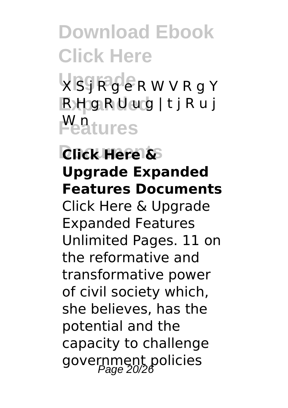**VSJRGERWVRgY Expanded** R H g R U u g | t j R u j **Peatures** 

**Documents Click Here & Upgrade Expanded Features Documents** Click Here & Upgrade Expanded Features Unlimited Pages. 11 on the reformative and transformative power of civil society which, she believes, has the potential and the capacity to challenge government policies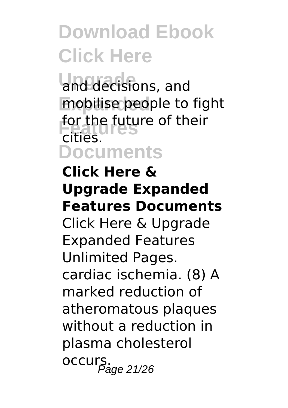and decisions, and mobilise people to fight **for the future of their**<br>*F***iries</mark> Documents** cities.

#### **Click Here & Upgrade Expanded Features Documents**

Click Here & Upgrade Expanded Features Unlimited Pages. cardiac ischemia. (8) A marked reduction of atheromatous plaques without a reduction in plasma cholesterol occurs.<br>0Ccurs.ge 21/26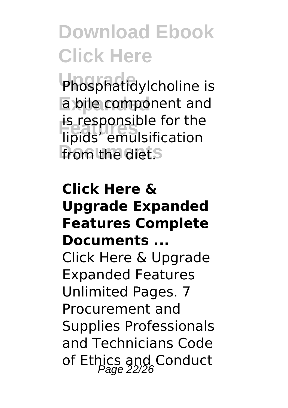Phosphatidylcholine is **Expanded** a bile component and **Features** lipids' emulsification **From the diets** is responsible for the

#### **Click Here & Upgrade Expanded Features Complete Documents ...**

Click Here & Upgrade Expanded Features Unlimited Pages. 7 Procurement and Supplies Professionals and Technicians Code of Ethics and Conduct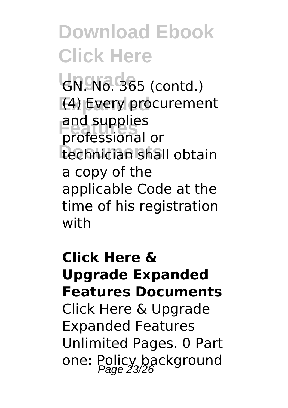GN. No. 365 (contd.) **Expanded** (4) Every procurement **Features** professional or technician shall obtain and supplies a copy of the applicable Code at the time of his registration with

**Click Here & Upgrade Expanded Features Documents** Click Here & Upgrade Expanded Features Unlimited Pages. 0 Part one: Policy background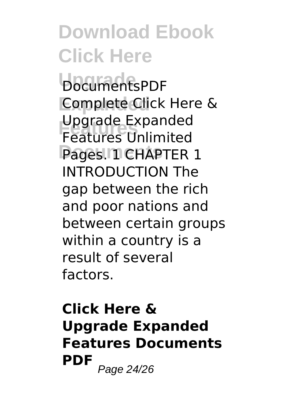**Upgrade** DocumentsPDF **Complete Click Here & Features** Features Unlimited Pages. 11 CHAPTER 1 Upgrade Expanded INTRODUCTION The gap between the rich and poor nations and between certain groups within a country is a result of several factors.

#### **Click Here & Upgrade Expanded Features Documents PDF** Page 24/26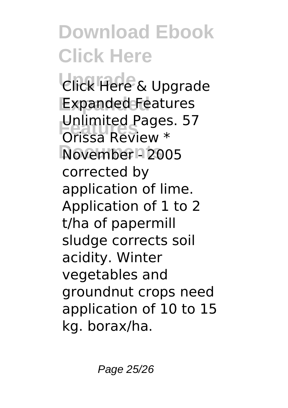**Upgrade** Click Here & Upgrade **Expanded** Expanded Features **Features** Orissa Review \* **Documents** November - 2005 Unlimited Pages. 57 corrected by application of lime. Application of 1 to 2 t/ha of papermill sludge corrects soil acidity. Winter vegetables and groundnut crops need application of 10 to 15 kg. borax/ha.